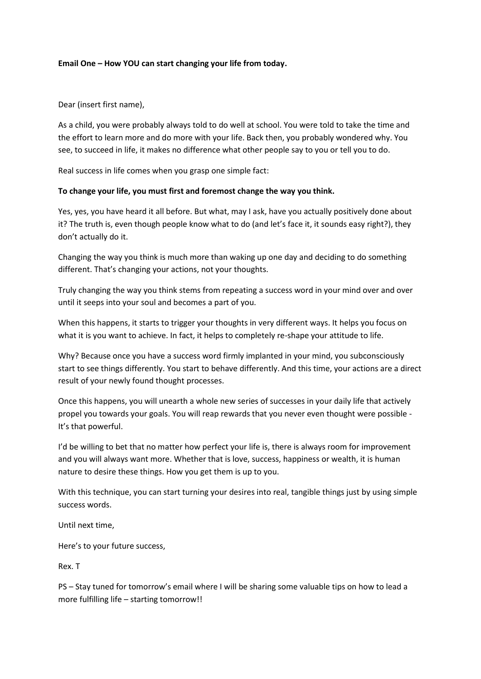#### **Email One – How YOU can start changing your life from today.**

Dear (insert first name),

As a child, you were probably always told to do well at school. You were told to take the time and the effort to learn more and do more with your life. Back then, you probably wondered why. You see, to succeed in life, it makes no difference what other people say to you or tell you to do.

Real success in life comes when you grasp one simple fact:

## **To change your life, you must first and foremost change the way you think.**

Yes, yes, you have heard it all before. But what, may I ask, have you actually positively done about it? The truth is, even though people know what to do (and let's face it, it sounds easy right?), they don't actually do it.

Changing the way you think is much more than waking up one day and deciding to do something different. That's changing your actions, not your thoughts.

Truly changing the way you think stems from repeating a success word in your mind over and over until it seeps into your soul and becomes a part of you.

When this happens, it starts to trigger your thoughts in very different ways. It helps you focus on what it is you want to achieve. In fact, it helps to completely re-shape your attitude to life.

Why? Because once you have a success word firmly implanted in your mind, you subconsciously start to see things differently. You start to behave differently. And this time, your actions are a direct result of your newly found thought processes.

Once this happens, you will unearth a whole new series of successes in your daily life that actively propel you towards your goals. You will reap rewards that you never even thought were possible - It's that powerful.

I'd be willing to bet that no matter how perfect your life is, there is always room for improvement and you will always want more. Whether that is love, success, happiness or wealth, it is human nature to desire these things. How you get them is up to you.

With this technique, you can start turning your desires into real, tangible things just by using simple success words.

Until next time,

Here's to your future success,

Rex. T

PS – Stay tuned for tomorrow's email where I will be sharing some valuable tips on how to lead a more fulfilling life – starting tomorrow!!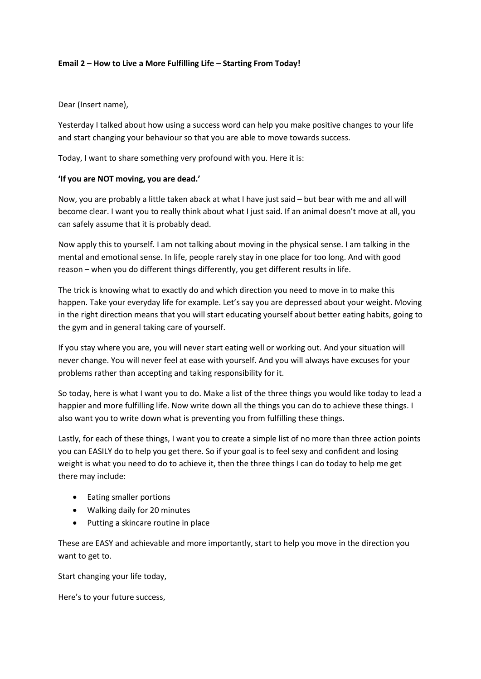## **Email 2 – How to Live a More Fulfilling Life – Starting From Today!**

## Dear (Insert name),

Yesterday I talked about how using a success word can help you make positive changes to your life and start changing your behaviour so that you are able to move towards success.

Today, I want to share something very profound with you. Here it is:

## **'If you are NOT moving, you are dead.'**

Now, you are probably a little taken aback at what I have just said – but bear with me and all will become clear. I want you to really think about what I just said. If an animal doesn't move at all, you can safely assume that it is probably dead.

Now apply this to yourself. I am not talking about moving in the physical sense. I am talking in the mental and emotional sense. In life, people rarely stay in one place for too long. And with good reason – when you do different things differently, you get different results in life.

The trick is knowing what to exactly do and which direction you need to move in to make this happen. Take your everyday life for example. Let's say you are depressed about your weight. Moving in the right direction means that you will start educating yourself about better eating habits, going to the gym and in general taking care of yourself.

If you stay where you are, you will never start eating well or working out. And your situation will never change. You will never feel at ease with yourself. And you will always have excuses for your problems rather than accepting and taking responsibility for it.

So today, here is what I want you to do. Make a list of the three things you would like today to lead a happier and more fulfilling life. Now write down all the things you can do to achieve these things. I also want you to write down what is preventing you from fulfilling these things.

Lastly, for each of these things, I want you to create a simple list of no more than three action points you can EASILY do to help you get there. So if your goal is to feel sexy and confident and losing weight is what you need to do to achieve it, then the three things I can do today to help me get there may include:

- Eating smaller portions
- Walking daily for 20 minutes
- Putting a skincare routine in place

These are EASY and achievable and more importantly, start to help you move in the direction you want to get to.

Start changing your life today,

Here's to your future success,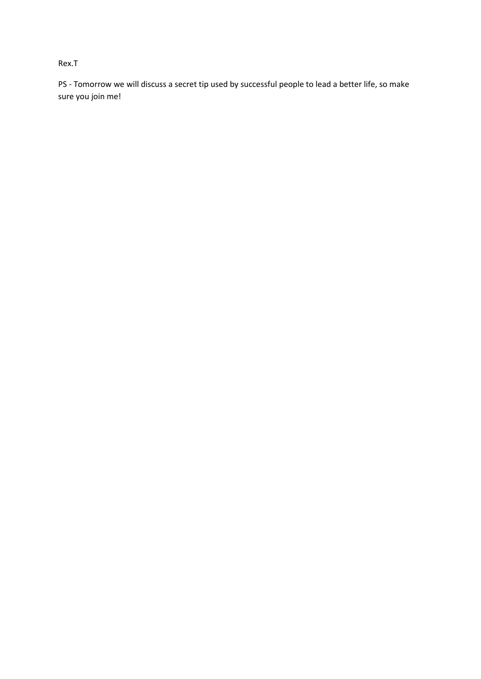## Rex.T

PS - Tomorrow we will discuss a secret tip used by successful people to lead a better life, so make sure you join me!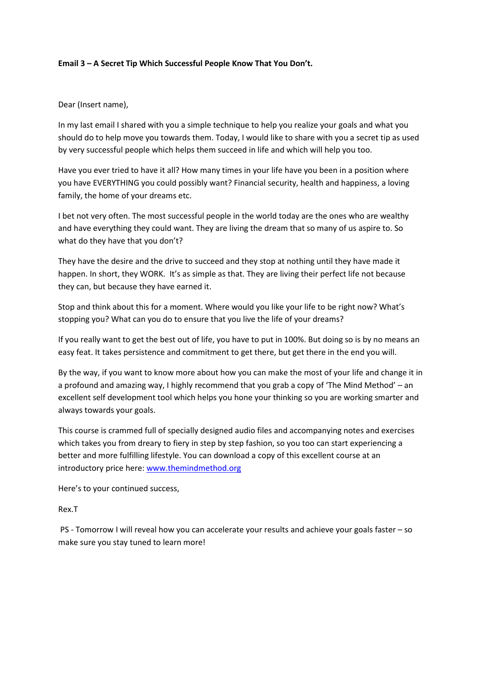#### **Email 3 – A Secret Tip Which Successful People Know That You Don't.**

## Dear (Insert name),

In my last email I shared with you a simple technique to help you realize your goals and what you should do to help move you towards them. Today, I would like to share with you a secret tip as used by very successful people which helps them succeed in life and which will help you too.

Have you ever tried to have it all? How many times in your life have you been in a position where you have EVERYTHING you could possibly want? Financial security, health and happiness, a loving family, the home of your dreams etc.

I bet not very often. The most successful people in the world today are the ones who are wealthy and have everything they could want. They are living the dream that so many of us aspire to. So what do they have that you don't?

They have the desire and the drive to succeed and they stop at nothing until they have made it happen. In short, they WORK. It's as simple as that. They are living their perfect life not because they can, but because they have earned it.

Stop and think about this for a moment. Where would you like your life to be right now? What's stopping you? What can you do to ensure that you live the life of your dreams?

If you really want to get the best out of life, you have to put in 100%. But doing so is by no means an easy feat. It takes persistence and commitment to get there, but get there in the end you will.

By the way, if you want to know more about how you can make the most of your life and change it in a profound and amazing way, I highly recommend that you grab a copy of 'The Mind Method' – an excellent self development tool which helps you hone your thinking so you are working smarter and always towards your goals.

This course is crammed full of specially designed audio files and accompanying notes and exercises which takes you from dreary to fiery in step by step fashion, so you too can start experiencing a better and more fulfilling lifestyle. You can download a copy of this excellent course at an introductory price here: [www.themindmethod.org](http://www.themindmethod.org/)

Here's to your continued success,

Rex.T

PS - Tomorrow I will reveal how you can accelerate your results and achieve your goals faster – so make sure you stay tuned to learn more!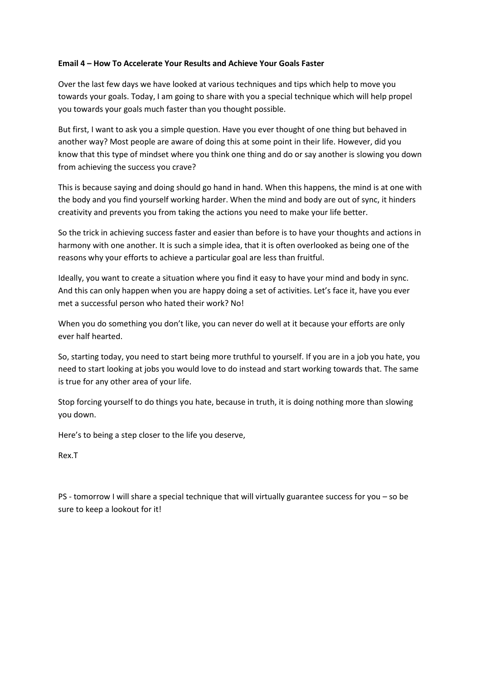## **Email 4 – How To Accelerate Your Results and Achieve Your Goals Faster**

Over the last few days we have looked at various techniques and tips which help to move you towards your goals. Today, I am going to share with you a special technique which will help propel you towards your goals much faster than you thought possible.

But first, I want to ask you a simple question. Have you ever thought of one thing but behaved in another way? Most people are aware of doing this at some point in their life. However, did you know that this type of mindset where you think one thing and do or say another is slowing you down from achieving the success you crave?

This is because saying and doing should go hand in hand. When this happens, the mind is at one with the body and you find yourself working harder. When the mind and body are out of sync, it hinders creativity and prevents you from taking the actions you need to make your life better.

So the trick in achieving success faster and easier than before is to have your thoughts and actions in harmony with one another. It is such a simple idea, that it is often overlooked as being one of the reasons why your efforts to achieve a particular goal are less than fruitful.

Ideally, you want to create a situation where you find it easy to have your mind and body in sync. And this can only happen when you are happy doing a set of activities. Let's face it, have you ever met a successful person who hated their work? No!

When you do something you don't like, you can never do well at it because your efforts are only ever half hearted.

So, starting today, you need to start being more truthful to yourself. If you are in a job you hate, you need to start looking at jobs you would love to do instead and start working towards that. The same is true for any other area of your life.

Stop forcing yourself to do things you hate, because in truth, it is doing nothing more than slowing you down.

Here's to being a step closer to the life you deserve,

Rex.T

PS - tomorrow I will share a special technique that will virtually guarantee success for you – so be sure to keep a lookout for it!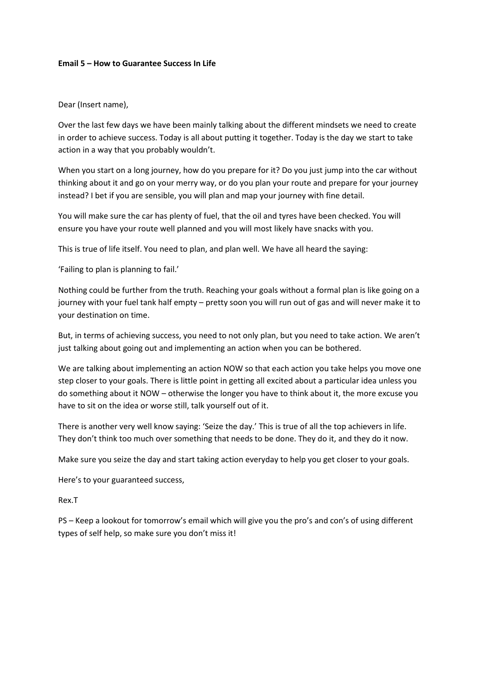#### **Email 5 – How to Guarantee Success In Life**

Dear (Insert name),

Over the last few days we have been mainly talking about the different mindsets we need to create in order to achieve success. Today is all about putting it together. Today is the day we start to take action in a way that you probably wouldn't.

When you start on a long journey, how do you prepare for it? Do you just jump into the car without thinking about it and go on your merry way, or do you plan your route and prepare for your journey instead? I bet if you are sensible, you will plan and map your journey with fine detail.

You will make sure the car has plenty of fuel, that the oil and tyres have been checked. You will ensure you have your route well planned and you will most likely have snacks with you.

This is true of life itself. You need to plan, and plan well. We have all heard the saying:

'Failing to plan is planning to fail.'

Nothing could be further from the truth. Reaching your goals without a formal plan is like going on a journey with your fuel tank half empty – pretty soon you will run out of gas and will never make it to your destination on time.

But, in terms of achieving success, you need to not only plan, but you need to take action. We aren't just talking about going out and implementing an action when you can be bothered.

We are talking about implementing an action NOW so that each action you take helps you move one step closer to your goals. There is little point in getting all excited about a particular idea unless you do something about it NOW – otherwise the longer you have to think about it, the more excuse you have to sit on the idea or worse still, talk yourself out of it.

There is another very well know saying: 'Seize the day.' This is true of all the top achievers in life. They don't think too much over something that needs to be done. They do it, and they do it now.

Make sure you seize the day and start taking action everyday to help you get closer to your goals.

Here's to your guaranteed success,

Rex.T

PS – Keep a lookout for tomorrow's email which will give you the pro's and con's of using different types of self help, so make sure you don't miss it!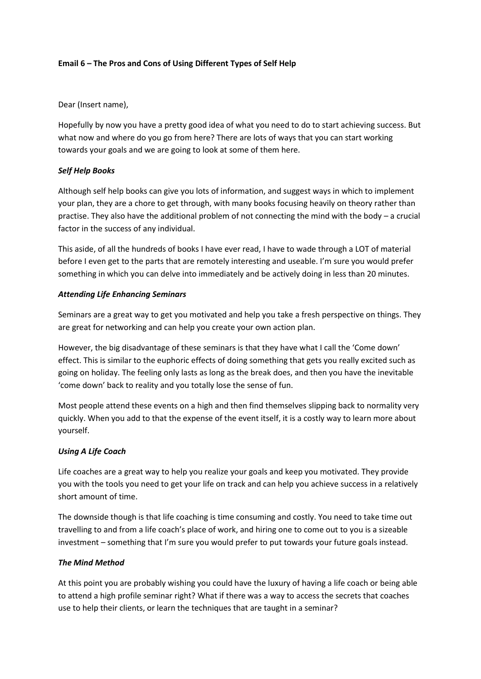## **Email 6 – The Pros and Cons of Using Different Types of Self Help**

Dear (Insert name),

Hopefully by now you have a pretty good idea of what you need to do to start achieving success. But what now and where do you go from here? There are lots of ways that you can start working towards your goals and we are going to look at some of them here.

## *Self Help Books*

Although self help books can give you lots of information, and suggest ways in which to implement your plan, they are a chore to get through, with many books focusing heavily on theory rather than practise. They also have the additional problem of not connecting the mind with the body – a crucial factor in the success of any individual.

This aside, of all the hundreds of books I have ever read, I have to wade through a LOT of material before I even get to the parts that are remotely interesting and useable. I'm sure you would prefer something in which you can delve into immediately and be actively doing in less than 20 minutes.

# *Attending Life Enhancing Seminars*

Seminars are a great way to get you motivated and help you take a fresh perspective on things. They are great for networking and can help you create your own action plan.

However, the big disadvantage of these seminars is that they have what I call the 'Come down' effect. This is similar to the euphoric effects of doing something that gets you really excited such as going on holiday. The feeling only lasts as long as the break does, and then you have the inevitable 'come down' back to reality and you totally lose the sense of fun.

Most people attend these events on a high and then find themselves slipping back to normality very quickly. When you add to that the expense of the event itself, it is a costly way to learn more about yourself.

# *Using A Life Coach*

Life coaches are a great way to help you realize your goals and keep you motivated. They provide you with the tools you need to get your life on track and can help you achieve success in a relatively short amount of time.

The downside though is that life coaching is time consuming and costly. You need to take time out travelling to and from a life coach's place of work, and hiring one to come out to you is a sizeable investment – something that I'm sure you would prefer to put towards your future goals instead.

#### *The Mind Method*

At this point you are probably wishing you could have the luxury of having a life coach or being able to attend a high profile seminar right? What if there was a way to access the secrets that coaches use to help their clients, or learn the techniques that are taught in a seminar?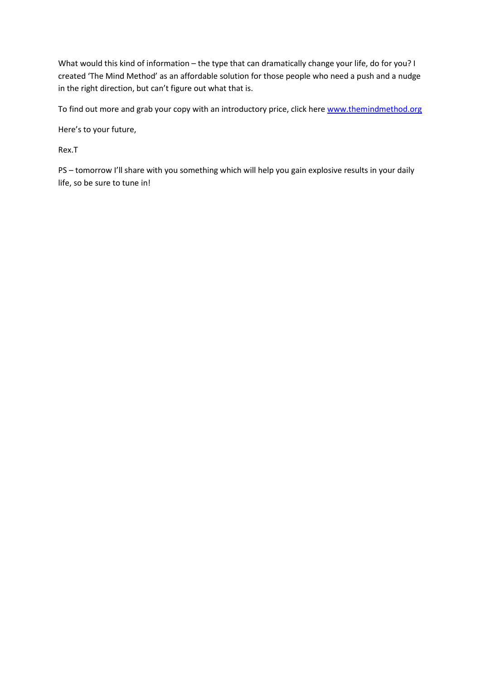What would this kind of information – the type that can dramatically change your life, do for you? I created 'The Mind Method' as an affordable solution for those people who need a push and a nudge in the right direction, but can't figure out what that is.

To find out more and grab your copy with an introductory price, click here [www.themindmethod.org](http://www.themindmethod.org/)

Here's to your future,

Rex.T

PS – tomorrow I'll share with you something which will help you gain explosive results in your daily life, so be sure to tune in!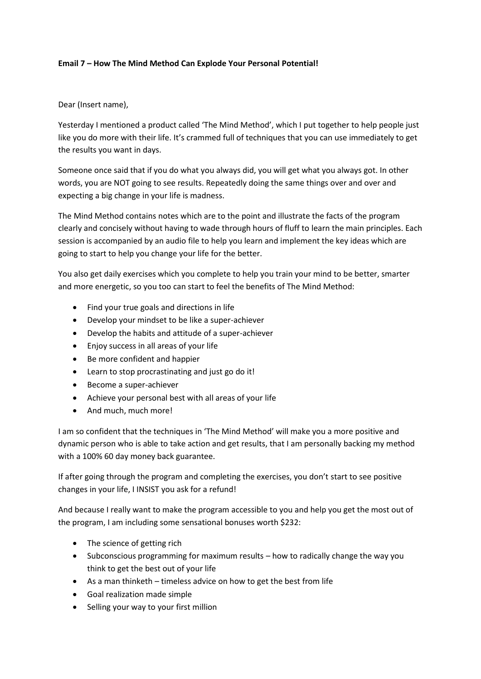## **Email 7 – How The Mind Method Can Explode Your Personal Potential!**

Dear (Insert name),

Yesterday I mentioned a product called 'The Mind Method', which I put together to help people just like you do more with their life. It's crammed full of techniques that you can use immediately to get the results you want in days.

Someone once said that if you do what you always did, you will get what you always got. In other words, you are NOT going to see results. Repeatedly doing the same things over and over and expecting a big change in your life is madness.

The Mind Method contains notes which are to the point and illustrate the facts of the program clearly and concisely without having to wade through hours of fluff to learn the main principles. Each session is accompanied by an audio file to help you learn and implement the key ideas which are going to start to help you change your life for the better.

You also get daily exercises which you complete to help you train your mind to be better, smarter and more energetic, so you too can start to feel the benefits of The Mind Method:

- Find your true goals and directions in life
- Develop your mindset to be like a super-achiever
- Develop the habits and attitude of a super-achiever
- Enjoy success in all areas of your life
- Be more confident and happier
- Learn to stop procrastinating and just go do it!
- Become a super-achiever
- Achieve your personal best with all areas of your life
- And much, much more!

I am so confident that the techniques in 'The Mind Method' will make you a more positive and dynamic person who is able to take action and get results, that I am personally backing my method with a 100% 60 day money back guarantee.

If after going through the program and completing the exercises, you don't start to see positive changes in your life, I INSIST you ask for a refund!

And because I really want to make the program accessible to you and help you get the most out of the program, I am including some sensational bonuses worth \$232:

- The science of getting rich
- Subconscious programming for maximum results how to radically change the way you think to get the best out of your life
- As a man thinketh timeless advice on how to get the best from life
- Goal realization made simple
- Selling your way to your first million